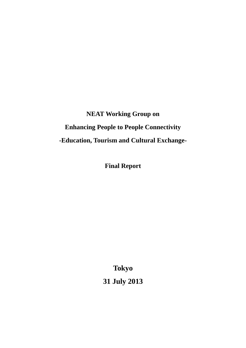**NEAT Working Group on Enhancing People to People Connectivity -Education, Tourism and Cultural Exchange-**

**Final Report**

**Tokyo 31 July 2013**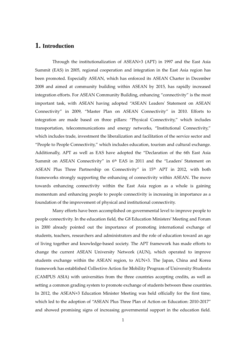### **1. Introduction**

Through the institutionalization of ASEAN+3 (APT) in 1997 and the East Asia Summit (EAS) in 2005, regional cooperation and integration in the East Asia region has been promoted. Especially ASEAN, which has enforced its ASEAN Charter in December 2008 and aimed at community building within ASEAN by 2015, has rapidly increased integration efforts. For ASEAN Community Building, enhancing "connectivity" is the most important task, with ASEAN having adopted "ASEAN Leaders' Statement on ASEAN Connectivity" in 2009, "Master Plan on ASEAN Connectivity" in 2010. Efforts to integration are made based on three pillars: "Physical Connectivity," which includes transportation, telecommunications and energy networks, "Institutional Connectivity," which includes trade, investment the liberalization and facilitation of the service sector and "People to People Connectivity," which includes education, tourism and cultural exchange. Additionally, APT as well as EAS have adopted the "Declaration of the 6th East Asia Summit on ASEAN Connectivity" in 6<sup>th</sup> EAS in 2011 and the "Leaders' Statement on ASEAN Plus Three Partnership on Connectivity" in 15<sup>th</sup> APT in 2012, with both frameworks strongly supporting the enhancing of connectivity within ASEAN. The move towards enhancing connectivity within the East Asia region as a whole is gaining momentum and enhancing people to people connectivity is increasing in importance as a foundation of the improvement of physical and institutional connectivity.

 Many efforts have been accomplished on governmental level to improve people to people connectivity. In the education field, the G8 Education Ministers' Meeting and Forum in 2000 already pointed out the importance of promoting international exchange of students, teachers, researchers and administrators and the role of education toward an age of living together and knowledge-based society. The APT framework has made efforts to change the current ASEAN University Network (AUN), which operated to improve students exchange within the ASEAN region, to AUN+3. The Japan, China and Korea framework has established Collective Action for Mobility Program of University Students (CAMPUS ASIA) with universities from the three countries accepting credits, as well as setting a common grading system to promote exchange of students between these countries. In 2012, the ASEAN+3 Education Minister Meeting was held officially for the first time, which led to the adoption of "ASEAN Plus Three Plan of Action on Education: 2010-2017" and showed promising signs of increasing governmental support in the education field.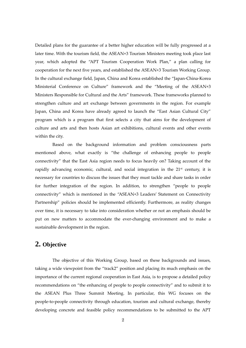Detailed plans for the guarantee of a better higher education will be fully progressed at a later time. With the tourism field, the ASEAN+3 Tourism Ministers meeting took place last year, which adopted the "APT Tourism Cooperation Work Plan," a plan calling for cooperation for the next five years, and established the ASEAN+3 Tourism Working Group. In the cultural exchange field, Japan, China and Korea established the "Japan-China-Korea Ministerial Conference on Culture" framework and the "Meeting of the ASEAN+3 Ministers Responsible for Cultural and the Arts" framework. These frameworks planned to strengthen culture and art exchange between governments in the region. For example Japan, China and Korea have already agreed to launch the "East Asian Cultural City" program which is a program that first selects a city that aims for the development of culture and arts and then hosts Asian art exhibitions, cultural events and other events within the city.

Based on the background information and problem consciousness parts mentioned above, what exactly is "the challenge of enhancing people to people connectivity" that the East Asia region needs to focus heavily on? Taking account of the rapidly advancing economic, cultural, and social integration in the  $21<sup>st</sup>$  century, it is necessary for countries to discuss the issues that they must tackle and share tasks in order for further integration of the region. In addition, to strengthen "people to people connectivity" which is mentioned in the "ASEAN+3 Leaders' Statement on Connectivity Partnership" policies should be implemented efficiently. Furthermore, as reality changes over time, it is necessary to take into consideration whether or not an emphasis should be put on new matters to accommodate the ever-changing environment and to make a sustainable development in the region.

## **2. Objective**

The objective of this Working Group, based on these backgrounds and issues, taking a wide viewpoint from the "track2" position and placing its much emphasis on the importance of the current regional cooperation in East Asia, is to propose a detailed policy recommendations on "the enhancing of people to people connectivity" and to submit it to the ASEAN Plus Three Summit Meeting. In particular, this WG focuses on the people-to-people connectivity through education, tourism and cultural exchange, thereby developing concrete and feasible policy recommendations to be submitted to the APT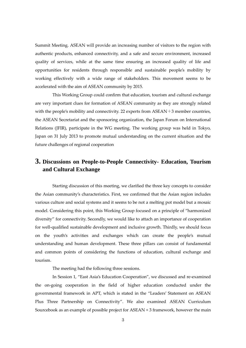Summit Meeting. ASEAN will provide an increasing number of visitors to the region with authentic products, enhanced connectivity, and a safe and secure environment, increased quality of services, while at the same time ensuring an increased quality of life and opportunities for residents through responsible and sustainable people's mobility by working effectively with a wide range of stakeholders. This movement seems to be accelerated with the aim of ASEAN community by 2015.

This Working Group could confirm that education, tourism and cultural exchange are very important clues for formation of ASEAN community as they are strongly related with the people's mobility and connectivity. 22 experts from  $ASEAN+3$  member countries, the ASEAN Secretariat and the sponsoring organization, the Japan Forum on International Relations (JFIR), participate in the WG meeting. The working group was held in Tokyo, Japan on 31 July 2013 to promote mutual understanding on the current situation and the future challenges of regional cooperation

## **3. Discussions on People-to-People Connectivity- Education, Tourism and Cultural Exchange**

Starting discussion of this meeting, we clarified the three key concepts to consider the Asian community's characteristics. First, we confirmed that the Asian region includes various culture and social systems and it seems to be not a melting pot model but a mosaic model. Considering this point, this Working Group focused on a principle of "harmonized diversity" for connectivity. Secondly, we would like to attach an importance of cooperation for well-qualified sustainable development and inclusive growth. Thirdly, we should focus on the youth's activities and exchanges which can create the people's mutual understanding and human development. These three pillars can consist of fundamental and common points of considering the functions of education, cultural exchange and tourism.

The meeting had the following three sessions.

In Session 1, "East Asia's Education Cooperation", we discussed and re-examined the on-going cooperation in the field of higher education conducted under the governmental framework in APT, which is stated in the "Leaders' Statement on ASEAN Plus Three Partnership on Connectivity". We also examined ASEAN Curriculum Sourcebook as an example of possible project for ASEAN + 3 framework, however the main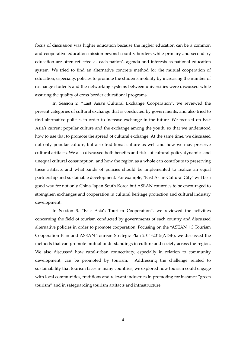focus of discussion was higher education because the higher education can be a common and cooperative education mission beyond country borders while primary and secondary education are often reflected as each nation's agenda and interests as national education system. We tried to find an alternative concrete method for the mutual cooperation of education, especially, policies to promote the students mobility by increasing the number of exchange students and the networking systems between universities were discussed while assuring the quality of cross-border educational programs.

In Session 2, "East Asia's Cultural Exchange Cooperation", we reviewed the present categories of cultural exchange that is conducted by governments, and also tried to find alternative policies in order to increase exchange in the future. We focused on East Asia's current popular culture and the exchange among the youth, so that we understood how to use that to promote the spread of cultural exchange. At the same time, we discussed not only popular culture, but also traditional culture as well and how we may preserve cultural artifacts. We also discussed both benefits and risks of cultural policy dynamics and unequal cultural consumption, and how the region as a whole can contribute to preserving these artifacts and what kinds of policies should be implemented to realize an equal partnership and sustainable development. For example, "East Asian Cultural City" will be a good way for not only China-Japan-South Korea but ASEAN countries to be encouraged to strengthen exchanges and cooperation in cultural heritage protection and cultural industry development.

In Session 3, "East Asia's Tourism Cooperation", we reviewed the activities concerning the field of tourism conducted by governments of each country and discussed alternative policies in order to promote cooperation. Focusing on the "ASEAN $+3$  Tourism Cooperation Plan and ASEAN Tourism Strategic Plan 2011-2015(ATSP), we discussed the methods that can promote mutual understandings in culture and society across the region. We also discussed how rural-urban connectivity, especially in relation to community development, can be promoted by tourism. Addressing the challenge related to sustainability that tourism faces in many countries, we explored how tourism could engage with local communities, traditions and relevant industries in promoting for instance "green tourism" and in safeguarding tourism artifacts and infrastructure.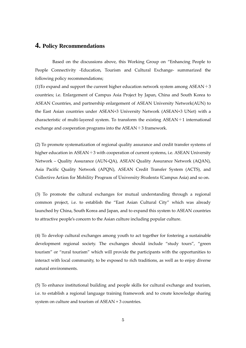# **4. Policy Recommendations**

Based on the discussions above, this Working Group on "Enhancing People to People Connectivity -Education, Tourism and Cultural Exchange- summarized the following policy recommendations;

(1) To expand and support the current higher education network system among  $\text{ASEAN}+3$ countries; i.e. Enlargement of Campus Asia Project by Japan, China and South Korea to ASEAN Countries, and partnership enlargement of ASEAN University Network(AUN) to the East Asian countries under ASEAN+3 University Network (ASEAN+3 UNet) with a characteristic of multi-layered system. To transform the existing ASEAN+1 international exchange and cooperation programs into the ASEAN+3 framework.

(2) To promote systematization of regional quality assurance and credit transfer systems of higher education in  $ASEAN+3$  with cooperation of current systems, i.e.  $ASEAN$  University Network – Quality Assurance (AUN-QA), ASEAN Quality Assurance Network (AQAN), Asia Pacific Quality Network (APQN), ASEAN Credit Transfer System (ACTS), and Collective Action for Mobility Program of University Students (Campus Asia) and so on.

(3) To promote the cultural exchanges for mutual understanding through a regional common project, i.e. to establish the "East Asian Cultural City" which was already launched by China, South Korea and Japan, and to expand this system to ASEAN countries to attractive people's concern to the Asian culture including popular culture.

(4) To develop cultural exchanges among youth to act together for fostering a sustainable development regional society. The exchanges should include "study tours", "green tourism" or "rural tourism" which will provide the participants with the opportunities to interact with local community, to be exposed to rich traditions, as well as to enjoy diverse natural environments.

(5) To enhance institutional building and people skills for cultural exchange and tourism, i.e. to establish a regional language training framework and to create knowledge sharing system on culture and tourism of ASEAN + 3 countries.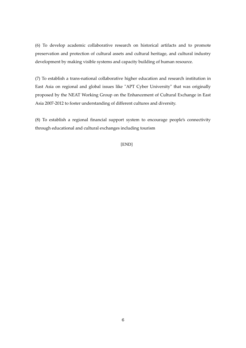(6) To develop academic collaborative research on historical artifacts and to promote preservation and protection of cultural assets and cultural heritage, and cultural industry development by making visible systems and capacity building of human resource.

(7) To establish a trans-national collaborative higher education and research institution in East Asia on regional and global issues like "APT Cyber University" that was originally proposed by the NEAT Working Group on the Enhancement of Cultural Exchange in East Asia 2007-2012 to foster understanding of different cultures and diversity.

(8) To establish a regional financial support system to encourage people's connectivity through educational and cultural exchanges including tourism

[END]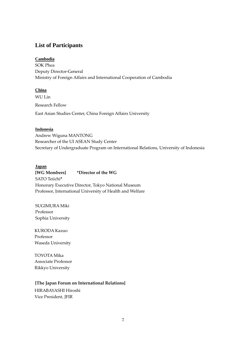### **List of Participants**

#### **Cambodia**

SOK Phea Deputy Director-General Ministry of Foreign Affairs and International Cooperation of Cambodia

#### **China**

WU Lin Research Fellow East Asian Studies Center, China Foreign Affairs University

#### **Indonesia**

Andrew Wiguna MANTONG Researcher of the UI ASEAN Study Center Secretary of Undergraduate Program on International Relations, University of Indonesia

#### **Japan**

**[WG Members] \*Director of the WG** SATO Teiichi**\***  Honorary Executive Director, Tokyo National Museum Professor, International University of Health and Welfare

SUGIMURA Miki Professor Sophia University

KURODA Kazuo Professor Waseda University

TOYOTA Mika Associate Professor Rikkyo University

### **[The Japan Forum on International Relations]**

HIRABAYASHI Hiroshi Vice President, JFIR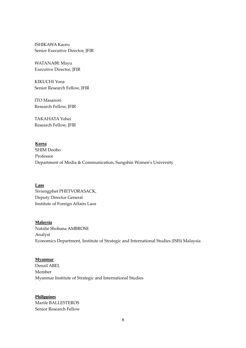ISHIKAWA Kaoru Senior Executive Director, JFIR

WATANABE Mayu Executive Director, JFIR

KIKUCHI Yona Senior Research Fellow, JFIR

ITO Masanori Research Fellow, JFIR

TAKAHATA Yohei Research Fellow, JFIR

**Korea** SHIM Doobo Professor Department of Media & Communication, Sungshin Women's University

**Laos** Siviengphet PHETVORASACK, Deputy Director General Institute of Foreign Affairs Laos

#### **Malaysia**

Natalie Shobana AMBROSE Analyst Economics Department, Institute of Strategic and International Studies (ISIS) Malaysia

#### **Myanmar**

Denzil ABEL Member Myanmar Institute of Strategic and International Studies

#### **Philippines**

Marife BALLESTEROS Senior Research Fellow